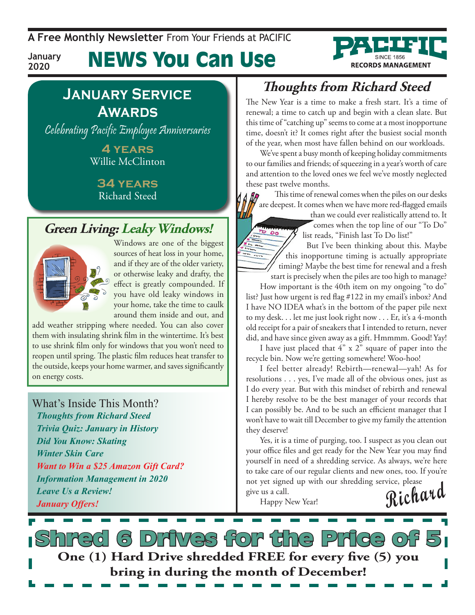**A Free Monthly Newsletter** From Your Friends at Pacific

News You Can Use



**January 2020**

## **January Service Awards**

Celebrating Pacific Employee Anniversaries

**4 years** Willie McClinton

**34 years** Richard Steed

## **Green Living: Leaky Windows!**



*January Offers!*

Windows are one of the biggest sources of heat loss in your home, and if they are of the older variety, or otherwise leaky and drafty, the effect is greatly compounded. If you have old leaky windows in your home, take the time to caulk around them inside and out, and

add weather stripping where needed. You can also cover them with insulating shrink film in the wintertime. It's best to use shrink film only for windows that you won't need to reopen until spring. The plastic film reduces heat transfer to the outside, keeps your home warmer, and saves significantly on energy costs.

## What's Inside This Month? *Thoughts from Richard Steed Trivia Quiz: January in History Did You Know: Skating Winter Skin Care Want to Win a \$25 Amazon Gift Card? Information Management in 2020 Leave Us a Review!*

## **Thoughts from Richard Steed**

The New Year is a time to make a fresh start. It's a time of renewal; a time to catch up and begin with a clean slate. But this time of "catching up" seems to come at a most inopportune time, doesn't it? It comes right after the busiest social month of the year, when most have fallen behind on our workloads.

We've spent a busy month of keeping holiday commitments to our families and friends; of squeezing in a year's worth of care and attention to the loved ones we feel we've mostly neglected these past twelve months.

This time of renewal comes when the piles on our desks are deepest. It comes when we have more red-flagged emails שור

than we could ever realistically attend to. It comes when the top line of our "To Do" list reads, "Finish last To Do list!"

But I've been thinking about this. Maybe this inopportune timing is actually appropriate timing? Maybe the best time for renewal and a fresh start is precisely when the piles are too high to manage?

How important is the 40th item on my ongoing "to do" list? Just how urgent is red flag #122 in my email's inbox? And I have NO IDEA what's in the bottom of the paper pile next to my desk. . . let me just look right now . . . Er, it's a 4-month old receipt for a pair of sneakers that I intended to return, never did, and have since given away as a gift. Hmmmm. Good! Yay!

I have just placed that 4" x 2" square of paper into the recycle bin. Now we're getting somewhere! Woo-hoo!

I feel better already! Rebirth—renewal—yah! As for resolutions . . . yes, I've made all of the obvious ones, just as I do every year. But with this mindset of rebirth and renewal I hereby resolve to be the best manager of your records that I can possibly be. And to be such an efficient manager that I won't have to wait till December to give my family the attention they deserve!

Yes, it is a time of purging, too. I suspect as you clean out your office files and get ready for the New Year you may find yourself in need of a shredding service. As always, we're here to take care of our regular clients and new ones, too. If you're not yet signed up with our shredding service, please give us a call.

Happy New Year!

**Richard**

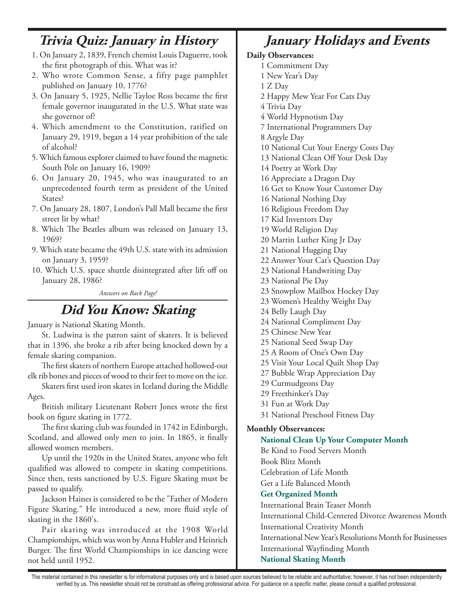## **Trivia Quiz: January in History**

- 1. On January 2, 1839, French chemist Louis Daguerre, took the first photograph of this. What was it?
- 2. Who wrote Common Sense, a fifty page pamphlet published on January 10, 1776?
- 3. On January 5, 1925, Nellie Tayloe Ross became the first female governor inaugurated in the U.S. What state was she governor of?
- 4. Which amendment to the Constitution, ratified on January 29, 1919, began a 14 year prohibition of the sale of alcohol?
- 5. Which famous explorer claimed to have found the magnetic South Pole on January 16, 1909?
- 6. On January 20, 1945, who was inaugurated to an unprecedented fourth term as president of the United States?
- 7. On January 28, 1807, London's Pall Mall became the first street lit by what?
- 8. Which The Beatles album was released on January 13, 1969?
- 9. Which state became the 49th U.S. state with its admission on January 3, 1959?
- 10. Which U.S. space shuttle disintegrated after lift off on January 28, 1986?

*Answers on Back Page!*

## **Did You Know: Skating**

January is National Skating Month.

St. Ludwina is the patron saint of skaters. It is believed that in 1396, she broke a rib after being knocked down by a female skating companion.

The first skaters of northern Europe attached hollowed-out elk rib bones and pieces of wood to their feet to move on the ice.

Skaters first used iron skates in Iceland during the Middle Ages.

British military Lieutenant Robert Jones wrote the first book on figure skating in 1772.

The first skating club was founded in 1742 in Edinburgh, Scotland, and allowed only men to join. In 1865, it finally allowed women members.

Up until the 1920s in the United States, anyone who felt qualified was allowed to compete in skating competitions. Since then, tests sanctioned by U.S. Figure Skating must be passed to qualify.

Jackson Haines is considered to be the "Father of Modern Figure Skating." He introduced a new, more fluid style of skating in the 1860's.

Pair skating was introduced at the 1908 World Championships, which was won by Anna Hubler and Heinrich Burger. The first World Championships in ice dancing were not held until 1952.

# **January Holidays and Events**

#### **Daily Observances:**

- 1 Commitment Day
- 1 New Year's Day
- 1 Z Day
- 2 Happy Mew Year For Cats Day
- 4 Trivia Day
- 4 World Hypnotism Day
- 7 International Programmers Day
- 8 Argyle Day
- 10 National Cut Your Energy Costs Day
- 13 National Clean Off Your Desk Day
- 14 Poetry at Work Day
- 16 Appreciate a Dragon Day
- 16 Get to Know Your Customer Day
- 16 National Nothing Day
- 16 Religious Freedom Day
- 17 Kid Inventors Day
- 19 World Religion Day
- 20 Martin Luther King Jr Day
- 21 National Hugging Day
- 22 Answer Your Cat's Question Day
- 23 National Handwriting Day
- 23 National Pie Day
- 23 Snowplow Mailbox Hockey Day
- 23 Women's Healthy Weight Day
- 24 Belly Laugh Day
- 24 National Compliment Day
- 25 Chinese New Year
- 25 National Seed Swap Day
- 25 A Room of One's Own Day
- 25 Visit Your Local Quilt Shop Day
- 27 Bubble Wrap Appreciation Day
- 29 Curmudgeons Day
- 29 Freethinker's Day
- 31 Fun at Work Day
- 31 National Preschool Fitness Day

### **Monthly Observances:**

### **National Clean Up Your Computer Month**

Be Kind to Food Servers Month Book Blitz Month

Celebration of Life Month Get a Life Balanced Month

### **Get Organized Month**

International Brain Teaser Month International Child-Centered Divorce Awareness Month International Creativity Month International New Year's Resolutions Month for Businesses

International Wayfinding Month

### **National Skating Month**

The material contained in this newsletter is for informational purposes only and is based upon sources believed to be reliable and authoritative; however, it has not been independently verified by us. This newsletter should not be construed as offering professional advice. For guidance on a specific matter, please consult a qualified professional.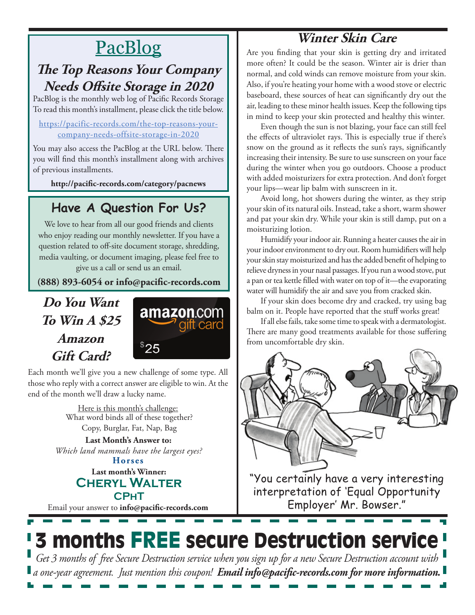# PacBlog

## **The Top Reasons Your Company Needs Offsite Storage in 2020**

PacBlog is the monthly web log of Pacific Records Storage To read this month's installment, please click the title below.

#### [https://pacific-records.com/the-top-reasons-your](https://pacific-records.com/the-top-reasons-your-company-needs-offsite-storage-in-2020)[company-needs-offsite-storage-in-2020](https://pacific-records.com/the-top-reasons-your-company-needs-offsite-storage-in-2020)

You may also access the PacBlog at the URL below. There you will find this month's installment along with archives of previous installments.

**http://pacific-records.com/category/pacnews**

## **Have A Question For Us?**

We love to hear from all our good friends and clients who enjoy reading our monthly newsletter. If you have a question related to off-site document storage, shredding, media vaulting, or document imaging, please feel free to give us a call or send us an email.

**(888) 893-6054 or info@pacific-records.com**

## **Do You Want To Win A \$25 Amazon Gift Card?**



Each month we'll give you a new challenge of some type. All those who reply with a correct answer are eligible to win. At the end of the month we'll draw a lucky name.

> Here is this month's challenge: What word binds all of these together? Copy, Burglar, Fat, Nap, Bag

**Horses Last Month's Answer to:**  *Which land mammals have the largest eyes?*

## **Last month's Winner: Cheryl Walter CPhT**

Email your answer to **info@pacific-records.com**

Are you finding that your skin is getting dry and irritated more often? It could be the season. Winter air is drier than normal, and cold winds can remove moisture from your skin. Also, if you're heating your home with a wood stove or electric baseboard, these sources of heat can significantly dry out the air, leading to these minor health issues. Keep the following tips in mind to keep your skin protected and healthy this winter.

**Winter Skin Care**

Even though the sun is not blazing, your face can still feel the effects of ultraviolet rays. This is especially true if there's snow on the ground as it reflects the sun's rays, significantly increasing their intensity. Be sure to use sunscreen on your face during the winter when you go outdoors. Choose a product with added moisturizers for extra protection. And don't forget your lips—wear lip balm with sunscreen in it.

Avoid long, hot showers during the winter, as they strip your skin of its natural oils. Instead, take a short, warm shower and pat your skin dry. While your skin is still damp, put on a moisturizing lotion.

Humidify your indoor air. Running a heater causes the air in your indoor environment to dry out. Room humidifiers will help your skin stay moisturized and has the added benefit of helping to relieve dryness in your nasal passages. If you run a wood stove, put a pan or tea kettle filled with water on top of it—the evaporating water will humidify the air and save you from cracked skin.

If your skin does become dry and cracked, try using bag balm on it. People have reported that the stuff works great!

If all else fails, take some time to speak with a dermatologist. There are many good treatments available for those suffering from uncomfortable dry skin.



"You certainly have a very interesting interpretation of 'Equal Opportunity Employer' Mr. Bowser."

# 3 months FREE secure Destruction service

*Get 3 months of free Secure Destruction service when you sign up for a new Secure Destruction account with a one-year agreement. Just mention this coupon! Email info@pacific-records.com for more information.*